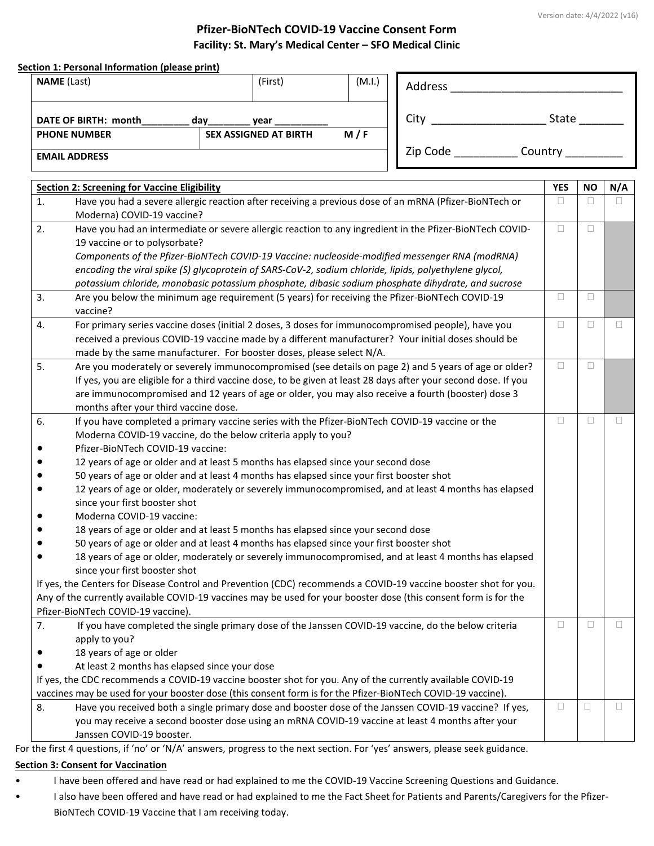#### **Pfizer-BioNTech COVID-19 Vaccine Consent Form Facility: St. Mary's Medical Center – SFO Medical Clinic**

|           | <b>NAME</b> (Last)                                                                                                                                                                                                   |     | (First)                      | (M.I.) | Address                                                                                                                                                                                                   |            |           |        |
|-----------|----------------------------------------------------------------------------------------------------------------------------------------------------------------------------------------------------------------------|-----|------------------------------|--------|-----------------------------------------------------------------------------------------------------------------------------------------------------------------------------------------------------------|------------|-----------|--------|
|           | DATE OF BIRTH: month                                                                                                                                                                                                 | day | year                         |        | City                                                                                                                                                                                                      | State      |           |        |
|           | <b>PHONE NUMBER</b>                                                                                                                                                                                                  |     | <b>SEX ASSIGNED AT BIRTH</b> | M/F    |                                                                                                                                                                                                           |            |           |        |
|           | <b>EMAIL ADDRESS</b>                                                                                                                                                                                                 |     |                              |        | Zip Code ______________ Country ___                                                                                                                                                                       |            |           |        |
|           | <b>Section 2: Screening for Vaccine Eligibility</b>                                                                                                                                                                  |     |                              |        |                                                                                                                                                                                                           | <b>YES</b> | <b>NO</b> | N/A    |
| 1.        |                                                                                                                                                                                                                      |     |                              |        | Have you had a severe allergic reaction after receiving a previous dose of an mRNA (Pfizer-BioNTech or                                                                                                    | $\Box$     | $\Box$    | П      |
|           | Moderna) COVID-19 vaccine?                                                                                                                                                                                           |     |                              |        |                                                                                                                                                                                                           |            |           |        |
| 2.        |                                                                                                                                                                                                                      |     |                              |        | Have you had an intermediate or severe allergic reaction to any ingredient in the Pfizer-BioNTech COVID-                                                                                                  | $\Box$     | $\Box$    |        |
|           | 19 vaccine or to polysorbate?                                                                                                                                                                                        |     |                              |        |                                                                                                                                                                                                           |            |           |        |
|           |                                                                                                                                                                                                                      |     |                              |        | Components of the Pfizer-BioNTech COVID-19 Vaccine: nucleoside-modified messenger RNA (modRNA)                                                                                                            |            |           |        |
|           |                                                                                                                                                                                                                      |     |                              |        | encoding the viral spike (S) glycoprotein of SARS-CoV-2, sodium chloride, lipids, polyethylene glycol,                                                                                                    |            |           |        |
|           |                                                                                                                                                                                                                      |     |                              |        | potassium chloride, monobasic potassium phosphate, dibasic sodium phosphate dihydrate, and sucrose                                                                                                        |            |           |        |
| 3.        |                                                                                                                                                                                                                      |     |                              |        | Are you below the minimum age requirement (5 years) for receiving the Pfizer-BioNTech COVID-19                                                                                                            | $\Box$     | $\Box$    |        |
|           | vaccine?                                                                                                                                                                                                             |     |                              |        |                                                                                                                                                                                                           | $\Box$     | $\Box$    | П      |
| 4.        |                                                                                                                                                                                                                      |     |                              |        | For primary series vaccine doses (initial 2 doses, 3 doses for immunocompromised people), have you<br>received a previous COVID-19 vaccine made by a different manufacturer? Your initial doses should be |            |           |        |
|           | made by the same manufacturer. For booster doses, please select N/A.                                                                                                                                                 |     |                              |        |                                                                                                                                                                                                           |            |           |        |
| 5.        |                                                                                                                                                                                                                      |     |                              |        | Are you moderately or severely immunocompromised (see details on page 2) and 5 years of age or older?                                                                                                     | $\Box$     | □         |        |
|           |                                                                                                                                                                                                                      |     |                              |        |                                                                                                                                                                                                           |            |           |        |
|           | If yes, you are eligible for a third vaccine dose, to be given at least 28 days after your second dose. If you<br>are immunocompromised and 12 years of age or older, you may also receive a fourth (booster) dose 3 |     |                              |        |                                                                                                                                                                                                           |            |           |        |
|           | months after your third vaccine dose.                                                                                                                                                                                |     |                              |        |                                                                                                                                                                                                           |            |           |        |
| 6.        |                                                                                                                                                                                                                      |     |                              |        | If you have completed a primary vaccine series with the Pfizer-BioNTech COVID-19 vaccine or the                                                                                                           | $\Box$     | □         | □      |
|           | Moderna COVID-19 vaccine, do the below criteria apply to you?                                                                                                                                                        |     |                              |        |                                                                                                                                                                                                           |            |           |        |
|           | Pfizer-BioNTech COVID-19 vaccine:                                                                                                                                                                                    |     |                              |        |                                                                                                                                                                                                           |            |           |        |
|           | 12 years of age or older and at least 5 months has elapsed since your second dose                                                                                                                                    |     |                              |        |                                                                                                                                                                                                           |            |           |        |
|           | 50 years of age or older and at least 4 months has elapsed since your first booster shot                                                                                                                             |     |                              |        |                                                                                                                                                                                                           |            |           |        |
|           |                                                                                                                                                                                                                      |     |                              |        | 12 years of age or older, moderately or severely immunocompromised, and at least 4 months has elapsed                                                                                                     |            |           |        |
|           | since your first booster shot                                                                                                                                                                                        |     |                              |        |                                                                                                                                                                                                           |            |           |        |
|           | Moderna COVID-19 vaccine:                                                                                                                                                                                            |     |                              |        |                                                                                                                                                                                                           |            |           |        |
|           | 18 years of age or older and at least 5 months has elapsed since your second dose                                                                                                                                    |     |                              |        |                                                                                                                                                                                                           |            |           |        |
|           | 50 years of age or older and at least 4 months has elapsed since your first booster shot                                                                                                                             |     |                              |        |                                                                                                                                                                                                           |            |           |        |
| $\bullet$ |                                                                                                                                                                                                                      |     |                              |        | 18 years of age or older, moderately or severely immunocompromised, and at least 4 months has elapsed                                                                                                     |            |           |        |
|           | since your first booster shot                                                                                                                                                                                        |     |                              |        | If yes, the Centers for Disease Control and Prevention (CDC) recommends a COVID-19 vaccine booster shot for you.                                                                                          |            |           |        |
|           |                                                                                                                                                                                                                      |     |                              |        | Any of the currently available COVID-19 vaccines may be used for your booster dose (this consent form is for the                                                                                          |            |           |        |
|           | Pfizer-BioNTech COVID-19 vaccine).                                                                                                                                                                                   |     |                              |        |                                                                                                                                                                                                           |            |           |        |
| 7.        |                                                                                                                                                                                                                      |     |                              |        | If you have completed the single primary dose of the Janssen COVID-19 vaccine, do the below criteria                                                                                                      | $\Box$     | $\Box$    | □      |
|           | apply to you?                                                                                                                                                                                                        |     |                              |        |                                                                                                                                                                                                           |            |           |        |
|           | 18 years of age or older                                                                                                                                                                                             |     |                              |        |                                                                                                                                                                                                           |            |           |        |
|           | At least 2 months has elapsed since your dose                                                                                                                                                                        |     |                              |        |                                                                                                                                                                                                           |            |           |        |
|           |                                                                                                                                                                                                                      |     |                              |        | If yes, the CDC recommends a COVID-19 vaccine booster shot for you. Any of the currently available COVID-19                                                                                               |            |           |        |
|           |                                                                                                                                                                                                                      |     |                              |        | vaccines may be used for your booster dose (this consent form is for the Pfizer-BioNTech COVID-19 vaccine).                                                                                               |            |           |        |
| 8.        |                                                                                                                                                                                                                      |     |                              |        | Have you received both a single primary dose and booster dose of the Janssen COVID-19 vaccine? If yes,                                                                                                    | Ω          | □         | $\Box$ |
|           |                                                                                                                                                                                                                      |     |                              |        | you may receive a second booster dose using an mRNA COVID-19 vaccine at least 4 months after your                                                                                                         |            |           |        |
|           | Janssen COVID-19 booster.                                                                                                                                                                                            |     |                              |        |                                                                                                                                                                                                           |            |           |        |

For the first 4 questions, if 'no' or 'N/A' answers, progress to the next section. For 'yes' answers, please seek guidance.

#### **Section 3: Consent for Vaccination**

- I have been offered and have read or had explained to me the COVID-19 Vaccine Screening Questions and Guidance.
- I also have been offered and have read or had explained to me the Fact Sheet for Patients and Parents/Caregivers for the Pfizer-BioNTech COVID-19 Vaccine that I am receiving today.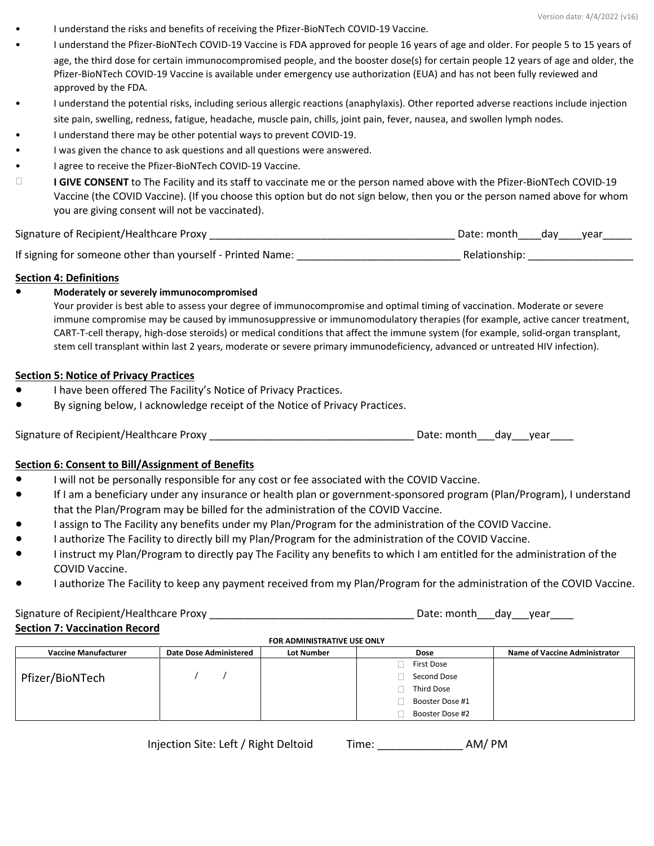• I understand the risks and benefits of receiving the Pfizer-BioNTech COVID-19 Vaccine. • I understand the Pfizer-BioNTech COVID-19 Vaccine is FDA approved for people 16 years of age and older. For people 5 to 15 years of age, the third dose for certain immunocompromised people, and the booster dose(s) for certain people 12 years of age and older, the Pfizer-BioNTech COVID-19 Vaccine is available under emergency use authorization (EUA) and has not been fully reviewed and approved by the FDA.

• I understand the potential risks, including serious allergic reactions (anaphylaxis). Other reported adverse reactions include injection site pain, swelling, redness, fatigue, headache, muscle pain, chills, joint pain, fever, nausea, and swollen lymph nodes.

- I understand there may be other potential ways to prevent COVID-19.
- I was given the chance to ask questions and all questions were answered.
- I agree to receive the Pfizer-BioNTech COVID-19 Vaccine.
- **I GIVE CONSENT** to The Facility and its staff to vaccinate me or the person named above with the Pfizer-BioNTech COVID-19 Vaccine (the COVID Vaccine). (If you choose this option but do not sign below, then you or the person named above for whom you are giving consent will not be vaccinated).

| Signature of Recipient/Healthcare Proxy                    | Date: month<br>dav dav<br>vear |
|------------------------------------------------------------|--------------------------------|
| If signing for someone other than yourself - Printed Name: | Relationship:                  |

### **Section 4: Definitions**

#### ● **Moderately or severely immunocompromised**

Your provider is best able to assess your degree of immunocompromise and optimal timing of vaccination. Moderate or severe immune compromise may be caused by immunosuppressive or immunomodulatory therapies (for example, active cancer treatment, CART-T-cell therapy, high-dose steroids) or medical conditions that affect the immune system (for example, solid-organ transplant, stem cell transplant within last 2 years, moderate or severe primary immunodeficiency, advanced or untreated HIV infection).

### **Section 5: Notice of Privacy Practices**

- I have been offered The Facility's Notice of Privacy Practices.
- By signing below, I acknowledge receipt of the Notice of Privacy Practices.

| Signature of Recipient/Healthcare Proxy | Date: month | dav | vear |  |
|-----------------------------------------|-------------|-----|------|--|
|-----------------------------------------|-------------|-----|------|--|

## **Section 6: Consent to Bill/Assignment of Benefits**

- I will not be personally responsible for any cost or fee associated with the COVID Vaccine.
- If I am a beneficiary under any insurance or health plan or government-sponsored program (Plan/Program), I understand that the Plan/Program may be billed for the administration of the COVID Vaccine.
- I assign to The Facility any benefits under my Plan/Program for the administration of the COVID Vaccine.
- I authorize The Facility to directly bill my Plan/Program for the administration of the COVID Vaccine.
- I instruct my Plan/Program to directly pay The Facility any benefits to which I am entitled for the administration of the COVID Vaccine.
- I authorize The Facility to keep any payment received from my Plan/Program for the administration of the COVID Vaccine.

#### Signature of Recipient/Healthcare Proxy \_\_\_\_\_\_\_\_\_\_\_\_\_\_\_\_\_\_\_\_\_\_\_\_\_\_\_\_\_\_\_\_\_\_\_ Date: month\_\_\_day\_\_\_year\_\_\_\_ **Section 7: Vaccination Record FOR ADMINISTRATIVE USE ONLY**

| FOR ADMINISTRATIVE USE ONLY |                               |                   |                 |                                      |  |
|-----------------------------|-------------------------------|-------------------|-----------------|--------------------------------------|--|
| <b>Vaccine Manufacturer</b> | <b>Date Dose Administered</b> | <b>Lot Number</b> | Dose            | <b>Name of Vaccine Administrator</b> |  |
|                             |                               |                   | First Dose      |                                      |  |
| Pfizer/BioNTech             |                               |                   | Second Dose     |                                      |  |
|                             |                               |                   | Third Dose      |                                      |  |
|                             |                               |                   | Booster Dose #1 |                                      |  |
|                             |                               |                   | Booster Dose #2 |                                      |  |
|                             |                               |                   |                 |                                      |  |

| Injection Site: Left / Right Deltoid | Time: | AM/PM |
|--------------------------------------|-------|-------|
|--------------------------------------|-------|-------|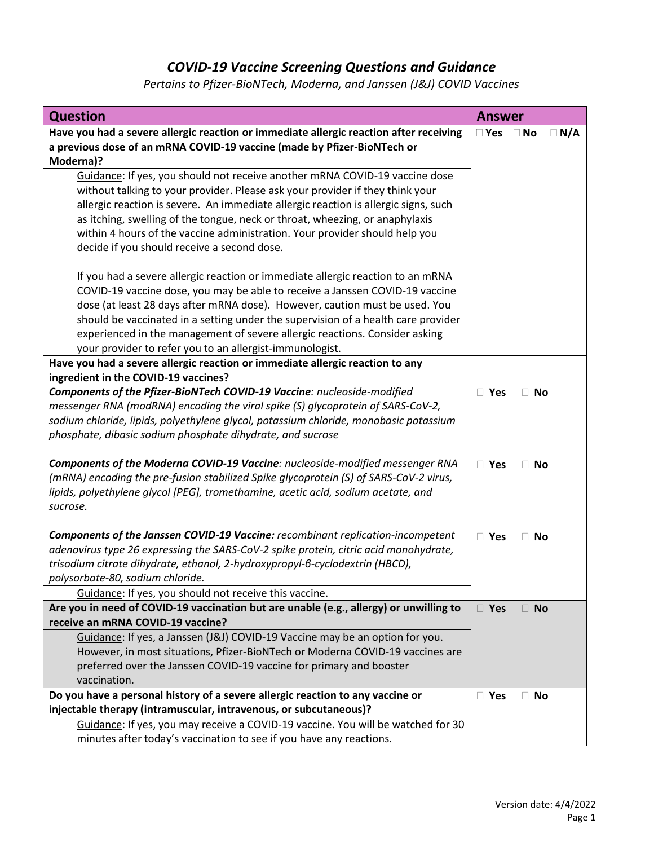# *COVID-19 Vaccine Screening Questions and Guidance*

| <b>Question</b>                                                                                                                                                                                                                                                                                                                                                                                                                                                                | <b>Answer</b> |           |            |
|--------------------------------------------------------------------------------------------------------------------------------------------------------------------------------------------------------------------------------------------------------------------------------------------------------------------------------------------------------------------------------------------------------------------------------------------------------------------------------|---------------|-----------|------------|
| Have you had a severe allergic reaction or immediate allergic reaction after receiving<br>a previous dose of an mRNA COVID-19 vaccine (made by Pfizer-BioNTech or<br>Moderna)?                                                                                                                                                                                                                                                                                                 | $\square$ Yes | $\Box$ No | $\Box$ N/A |
| Guidance: If yes, you should not receive another mRNA COVID-19 vaccine dose<br>without talking to your provider. Please ask your provider if they think your<br>allergic reaction is severe. An immediate allergic reaction is allergic signs, such<br>as itching, swelling of the tongue, neck or throat, wheezing, or anaphylaxis<br>within 4 hours of the vaccine administration. Your provider should help you<br>decide if you should receive a second dose.              |               |           |            |
| If you had a severe allergic reaction or immediate allergic reaction to an mRNA<br>COVID-19 vaccine dose, you may be able to receive a Janssen COVID-19 vaccine<br>dose (at least 28 days after mRNA dose). However, caution must be used. You<br>should be vaccinated in a setting under the supervision of a health care provider<br>experienced in the management of severe allergic reactions. Consider asking<br>your provider to refer you to an allergist-immunologist. |               |           |            |
| Have you had a severe allergic reaction or immediate allergic reaction to any                                                                                                                                                                                                                                                                                                                                                                                                  |               |           |            |
| ingredient in the COVID-19 vaccines?                                                                                                                                                                                                                                                                                                                                                                                                                                           |               |           |            |
| Components of the Pfizer-BioNTech COVID-19 Vaccine: nucleoside-modified<br>messenger RNA (modRNA) encoding the viral spike (S) glycoprotein of SARS-CoV-2,<br>sodium chloride, lipids, polyethylene glycol, potassium chloride, monobasic potassium<br>phosphate, dibasic sodium phosphate dihydrate, and sucrose                                                                                                                                                              | $\Box$ Yes    | $\Box$ No |            |
| Components of the Moderna COVID-19 Vaccine: nucleoside-modified messenger RNA<br>(mRNA) encoding the pre-fusion stabilized Spike glycoprotein (S) of SARS-CoV-2 virus,<br>lipids, polyethylene glycol [PEG], tromethamine, acetic acid, sodium acetate, and<br>sucrose.                                                                                                                                                                                                        |               | $\Box$ No |            |
| Components of the Janssen COVID-19 Vaccine: recombinant replication-incompetent<br>adenovirus type 26 expressing the SARS-CoV-2 spike protein, citric acid monohydrate,<br>trisodium citrate dihydrate, ethanol, 2-hydroxypropyl-6-cyclodextrin (HBCD),<br>polysorbate-80, sodium chloride.<br>Guidance: If yes, you should not receive this vaccine.                                                                                                                          | $\Box$ Yes    | $\Box$ No |            |
| Are you in need of COVID-19 vaccination but are unable (e.g., allergy) or unwilling to                                                                                                                                                                                                                                                                                                                                                                                         | □ Yes         | $\Box$ No |            |
| receive an mRNA COVID-19 vaccine?                                                                                                                                                                                                                                                                                                                                                                                                                                              |               |           |            |
| Guidance: If yes, a Janssen (J&J) COVID-19 Vaccine may be an option for you.<br>However, in most situations, Pfizer-BioNTech or Moderna COVID-19 vaccines are<br>preferred over the Janssen COVID-19 vaccine for primary and booster                                                                                                                                                                                                                                           |               |           |            |
| vaccination.                                                                                                                                                                                                                                                                                                                                                                                                                                                                   |               |           |            |
| Do you have a personal history of a severe allergic reaction to any vaccine or<br>injectable therapy (intramuscular, intravenous, or subcutaneous)?                                                                                                                                                                                                                                                                                                                            | □ Yes         | $\Box$ No |            |
| Guidance: If yes, you may receive a COVID-19 vaccine. You will be watched for 30<br>minutes after today's vaccination to see if you have any reactions.                                                                                                                                                                                                                                                                                                                        |               |           |            |

*Pertains to Pfizer-BioNTech, Moderna, and Janssen (J&J) COVID Vaccines*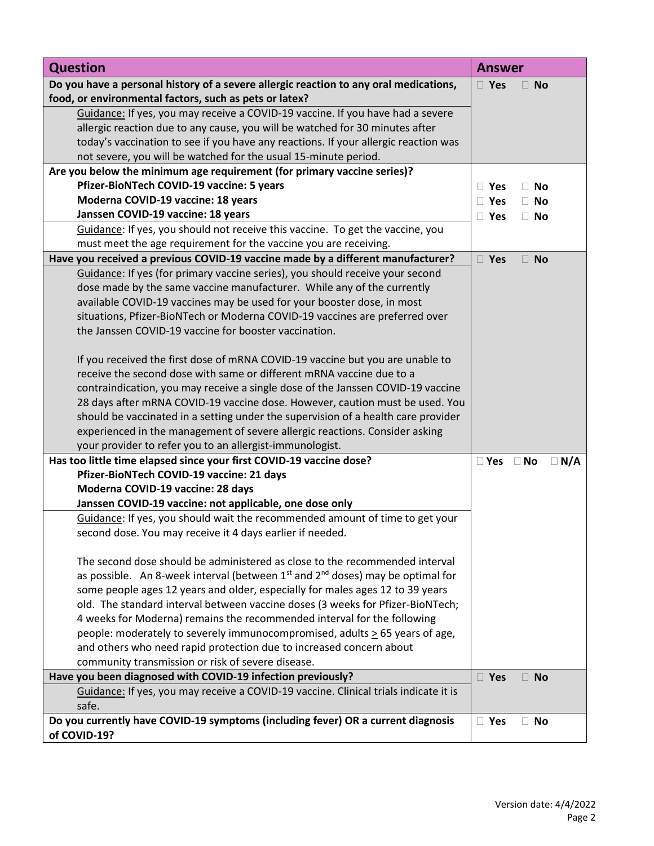| <b>Question</b>                                                                          | <b>Answer</b>                            |
|------------------------------------------------------------------------------------------|------------------------------------------|
| Do you have a personal history of a severe allergic reaction to any oral medications,    | $\square$ Yes<br><b>No</b><br>$\Box$     |
| food, or environmental factors, such as pets or latex?                                   |                                          |
| Guidance: If yes, you may receive a COVID-19 vaccine. If you have had a severe           |                                          |
| allergic reaction due to any cause, you will be watched for 30 minutes after             |                                          |
| today's vaccination to see if you have any reactions. If your allergic reaction was      |                                          |
| not severe, you will be watched for the usual 15-minute period.                          |                                          |
| Are you below the minimum age requirement (for primary vaccine series)?                  |                                          |
| Pfizer-BioNTech COVID-19 vaccine: 5 years                                                | $\Box$ No<br>$\Box$ Yes                  |
| Moderna COVID-19 vaccine: 18 years                                                       | $\Box$ Yes<br>$\Box$ No                  |
| Janssen COVID-19 vaccine: 18 years                                                       | $\Box$ Yes<br>$\Box$ No                  |
| Guidance: If yes, you should not receive this vaccine. To get the vaccine, you           |                                          |
| must meet the age requirement for the vaccine you are receiving.                         |                                          |
| Have you received a previous COVID-19 vaccine made by a different manufacturer?          | $\square$ Yes<br>$\Box$ No               |
| Guidance: If yes (for primary vaccine series), you should receive your second            |                                          |
| dose made by the same vaccine manufacturer. While any of the currently                   |                                          |
| available COVID-19 vaccines may be used for your booster dose, in most                   |                                          |
| situations, Pfizer-BioNTech or Moderna COVID-19 vaccines are preferred over              |                                          |
| the Janssen COVID-19 vaccine for booster vaccination.                                    |                                          |
|                                                                                          |                                          |
| If you received the first dose of mRNA COVID-19 vaccine but you are unable to            |                                          |
| receive the second dose with same or different mRNA vaccine due to a                     |                                          |
| contraindication, you may receive a single dose of the Janssen COVID-19 vaccine          |                                          |
| 28 days after mRNA COVID-19 vaccine dose. However, caution must be used. You             |                                          |
| should be vaccinated in a setting under the supervision of a health care provider        |                                          |
| experienced in the management of severe allergic reactions. Consider asking              |                                          |
| your provider to refer you to an allergist-immunologist.                                 |                                          |
| Has too little time elapsed since your first COVID-19 vaccine dose?                      | $\Box$ N/A<br>$\square$ Yes<br>$\Box$ No |
| Pfizer-BioNTech COVID-19 vaccine: 21 days                                                |                                          |
| Moderna COVID-19 vaccine: 28 days                                                        |                                          |
| Janssen COVID-19 vaccine: not applicable, one dose only                                  |                                          |
| Guidance: If yes, you should wait the recommended amount of time to get your             |                                          |
| second dose. You may receive it 4 days earlier if needed.                                |                                          |
| The second dose should be administered as close to the recommended interval              |                                          |
| as possible. An 8-week interval (between $1^{st}$ and $2^{nd}$ doses) may be optimal for |                                          |
| some people ages 12 years and older, especially for males ages 12 to 39 years            |                                          |
| old. The standard interval between vaccine doses (3 weeks for Pfizer-BioNTech;           |                                          |
| 4 weeks for Moderna) remains the recommended interval for the following                  |                                          |
| people: moderately to severely immunocompromised, adults > 65 years of age,              |                                          |
| and others who need rapid protection due to increased concern about                      |                                          |
| community transmission or risk of severe disease.                                        |                                          |
| Have you been diagnosed with COVID-19 infection previously?                              | $\square$ Yes<br>$\Box$ No               |
| Guidance: If yes, you may receive a COVID-19 vaccine. Clinical trials indicate it is     |                                          |
| safe.                                                                                    |                                          |
| Do you currently have COVID-19 symptoms (including fever) OR a current diagnosis         | □ Yes<br>$\Box$ No                       |
| of COVID-19?                                                                             |                                          |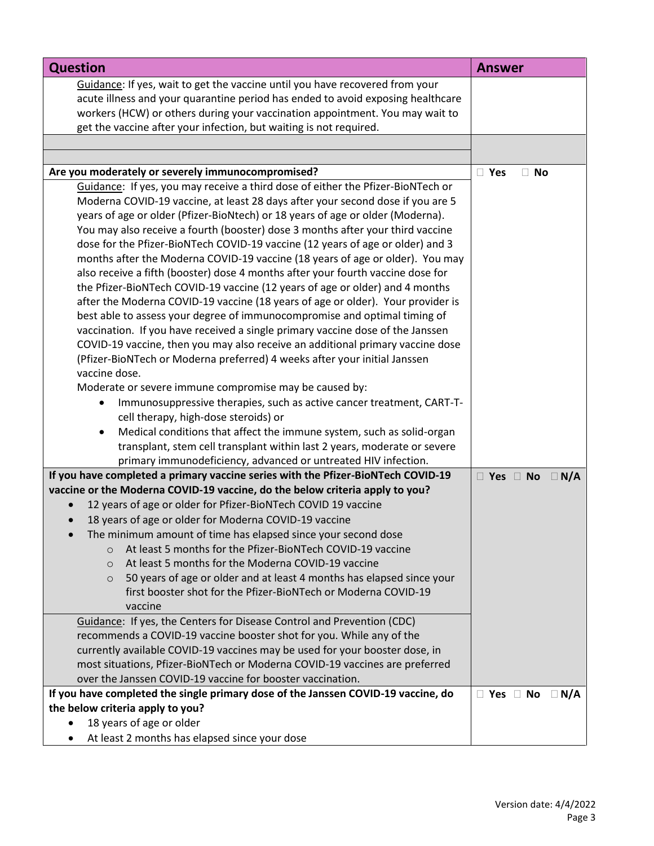| <b>Question</b>                                                                                                                                                  | <b>Answer</b>                      |
|------------------------------------------------------------------------------------------------------------------------------------------------------------------|------------------------------------|
| Guidance: If yes, wait to get the vaccine until you have recovered from your                                                                                     |                                    |
| acute illness and your quarantine period has ended to avoid exposing healthcare                                                                                  |                                    |
| workers (HCW) or others during your vaccination appointment. You may wait to                                                                                     |                                    |
| get the vaccine after your infection, but waiting is not required.                                                                                               |                                    |
|                                                                                                                                                                  |                                    |
| Are you moderately or severely immunocompromised?                                                                                                                | $\Box$ Yes<br>$\Box$ No            |
| Guidance: If yes, you may receive a third dose of either the Pfizer-BioNTech or                                                                                  |                                    |
| Moderna COVID-19 vaccine, at least 28 days after your second dose if you are 5                                                                                   |                                    |
| years of age or older (Pfizer-BioNtech) or 18 years of age or older (Moderna).                                                                                   |                                    |
| You may also receive a fourth (booster) dose 3 months after your third vaccine<br>dose for the Pfizer-BioNTech COVID-19 vaccine (12 years of age or older) and 3 |                                    |
| months after the Moderna COVID-19 vaccine (18 years of age or older). You may                                                                                    |                                    |
| also receive a fifth (booster) dose 4 months after your fourth vaccine dose for                                                                                  |                                    |
| the Pfizer-BioNTech COVID-19 vaccine (12 years of age or older) and 4 months                                                                                     |                                    |
| after the Moderna COVID-19 vaccine (18 years of age or older). Your provider is                                                                                  |                                    |
| best able to assess your degree of immunocompromise and optimal timing of                                                                                        |                                    |
| vaccination. If you have received a single primary vaccine dose of the Janssen                                                                                   |                                    |
| COVID-19 vaccine, then you may also receive an additional primary vaccine dose                                                                                   |                                    |
| (Pfizer-BioNTech or Moderna preferred) 4 weeks after your initial Janssen                                                                                        |                                    |
| vaccine dose.                                                                                                                                                    |                                    |
| Moderate or severe immune compromise may be caused by:                                                                                                           |                                    |
| Immunosuppressive therapies, such as active cancer treatment, CART-T-<br>$\bullet$<br>cell therapy, high-dose steroids) or                                       |                                    |
| Medical conditions that affect the immune system, such as solid-organ<br>$\bullet$                                                                               |                                    |
| transplant, stem cell transplant within last 2 years, moderate or severe                                                                                         |                                    |
| primary immunodeficiency, advanced or untreated HIV infection.                                                                                                   |                                    |
| If you have completed a primary vaccine series with the Pfizer-BioNTech COVID-19                                                                                 | $\Box$ Yes $\Box$ No $\Box$ N/A    |
| vaccine or the Moderna COVID-19 vaccine, do the below criteria apply to you?                                                                                     |                                    |
| 12 years of age or older for Pfizer-BioNTech COVID 19 vaccine                                                                                                    |                                    |
| 18 years of age or older for Moderna COVID-19 vaccine                                                                                                            |                                    |
| The minimum amount of time has elapsed since your second dose                                                                                                    |                                    |
| At least 5 months for the Pfizer-BioNTech COVID-19 vaccine<br>$\Omega$                                                                                           |                                    |
| At least 5 months for the Moderna COVID-19 vaccine<br>$\circ$                                                                                                    |                                    |
| 50 years of age or older and at least 4 months has elapsed since your<br>$\circ$<br>first booster shot for the Pfizer-BioNTech or Moderna COVID-19               |                                    |
| vaccine                                                                                                                                                          |                                    |
| Guidance: If yes, the Centers for Disease Control and Prevention (CDC)                                                                                           |                                    |
| recommends a COVID-19 vaccine booster shot for you. While any of the                                                                                             |                                    |
| currently available COVID-19 vaccines may be used for your booster dose, in                                                                                      |                                    |
| most situations, Pfizer-BioNTech or Moderna COVID-19 vaccines are preferred                                                                                      |                                    |
| over the Janssen COVID-19 vaccine for booster vaccination.                                                                                                       |                                    |
| If you have completed the single primary dose of the Janssen COVID-19 vaccine, do                                                                                | $\Box$ Yes $\Box$ No<br>$\Box$ N/A |
| the below criteria apply to you?                                                                                                                                 |                                    |
| 18 years of age or older                                                                                                                                         |                                    |
| At least 2 months has elapsed since your dose                                                                                                                    |                                    |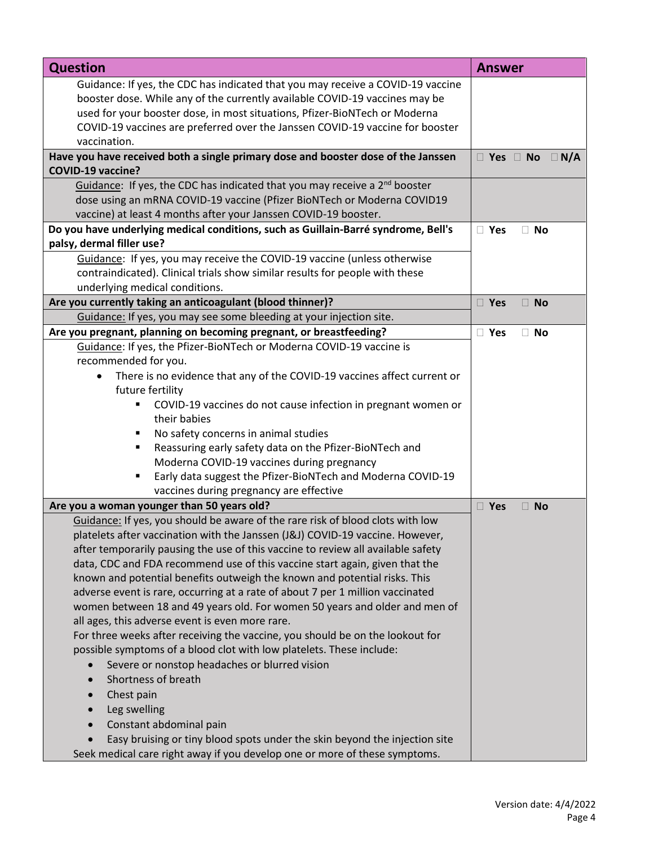| <b>Question</b>                                                                                                                                                                                                                                                                                                               | <b>Answer</b>                            |
|-------------------------------------------------------------------------------------------------------------------------------------------------------------------------------------------------------------------------------------------------------------------------------------------------------------------------------|------------------------------------------|
| Guidance: If yes, the CDC has indicated that you may receive a COVID-19 vaccine<br>booster dose. While any of the currently available COVID-19 vaccines may be<br>used for your booster dose, in most situations, Pfizer-BioNTech or Moderna<br>COVID-19 vaccines are preferred over the Janssen COVID-19 vaccine for booster |                                          |
| vaccination.                                                                                                                                                                                                                                                                                                                  |                                          |
| Have you have received both a single primary dose and booster dose of the Janssen<br><b>COVID-19 vaccine?</b>                                                                                                                                                                                                                 | $\square$ Yes $\square$ No<br>$\Box$ N/A |
| Guidance: If yes, the CDC has indicated that you may receive a 2 <sup>nd</sup> booster                                                                                                                                                                                                                                        |                                          |
| dose using an mRNA COVID-19 vaccine (Pfizer BioNTech or Moderna COVID19                                                                                                                                                                                                                                                       |                                          |
| vaccine) at least 4 months after your Janssen COVID-19 booster.                                                                                                                                                                                                                                                               |                                          |
| Do you have underlying medical conditions, such as Guillain-Barré syndrome, Bell's                                                                                                                                                                                                                                            | □ Yes<br>$\Box$ No                       |
| palsy, dermal filler use?                                                                                                                                                                                                                                                                                                     |                                          |
| Guidance: If yes, you may receive the COVID-19 vaccine (unless otherwise                                                                                                                                                                                                                                                      |                                          |
| contraindicated). Clinical trials show similar results for people with these                                                                                                                                                                                                                                                  |                                          |
| underlying medical conditions.                                                                                                                                                                                                                                                                                                |                                          |
| Are you currently taking an anticoagulant (blood thinner)?                                                                                                                                                                                                                                                                    | □ Yes<br>$\Box$ No                       |
| Guidance: If yes, you may see some bleeding at your injection site.                                                                                                                                                                                                                                                           |                                          |
| Are you pregnant, planning on becoming pregnant, or breastfeeding?                                                                                                                                                                                                                                                            | □ Yes<br>$\Box$ No                       |
| Guidance: If yes, the Pfizer-BioNTech or Moderna COVID-19 vaccine is                                                                                                                                                                                                                                                          |                                          |
| recommended for you.                                                                                                                                                                                                                                                                                                          |                                          |
| There is no evidence that any of the COVID-19 vaccines affect current or                                                                                                                                                                                                                                                      |                                          |
| future fertility                                                                                                                                                                                                                                                                                                              |                                          |
| COVID-19 vaccines do not cause infection in pregnant women or                                                                                                                                                                                                                                                                 |                                          |
| their babies                                                                                                                                                                                                                                                                                                                  |                                          |
| No safety concerns in animal studies<br>п                                                                                                                                                                                                                                                                                     |                                          |
| Reassuring early safety data on the Pfizer-BioNTech and<br>٠                                                                                                                                                                                                                                                                  |                                          |
| Moderna COVID-19 vaccines during pregnancy                                                                                                                                                                                                                                                                                    |                                          |
| Early data suggest the Pfizer-BioNTech and Moderna COVID-19<br>$\blacksquare$                                                                                                                                                                                                                                                 |                                          |
| vaccines during pregnancy are effective                                                                                                                                                                                                                                                                                       |                                          |
| Are you a woman younger than 50 years old?                                                                                                                                                                                                                                                                                    | $\square$ Yes<br>$\Box$ No               |
| Guidance: If yes, you should be aware of the rare risk of blood clots with low                                                                                                                                                                                                                                                |                                          |
| platelets after vaccination with the Janssen (J&J) COVID-19 vaccine. However,                                                                                                                                                                                                                                                 |                                          |
| after temporarily pausing the use of this vaccine to review all available safety                                                                                                                                                                                                                                              |                                          |
| data, CDC and FDA recommend use of this vaccine start again, given that the                                                                                                                                                                                                                                                   |                                          |
| known and potential benefits outweigh the known and potential risks. This                                                                                                                                                                                                                                                     |                                          |
| adverse event is rare, occurring at a rate of about 7 per 1 million vaccinated                                                                                                                                                                                                                                                |                                          |
| women between 18 and 49 years old. For women 50 years and older and men of                                                                                                                                                                                                                                                    |                                          |
| all ages, this adverse event is even more rare.                                                                                                                                                                                                                                                                               |                                          |
| For three weeks after receiving the vaccine, you should be on the lookout for                                                                                                                                                                                                                                                 |                                          |
| possible symptoms of a blood clot with low platelets. These include:                                                                                                                                                                                                                                                          |                                          |
| Severe or nonstop headaches or blurred vision                                                                                                                                                                                                                                                                                 |                                          |
| Shortness of breath                                                                                                                                                                                                                                                                                                           |                                          |
| Chest pain                                                                                                                                                                                                                                                                                                                    |                                          |
| Leg swelling                                                                                                                                                                                                                                                                                                                  |                                          |
| Constant abdominal pain                                                                                                                                                                                                                                                                                                       |                                          |
| Easy bruising or tiny blood spots under the skin beyond the injection site                                                                                                                                                                                                                                                    |                                          |
| Seek medical care right away if you develop one or more of these symptoms.                                                                                                                                                                                                                                                    |                                          |